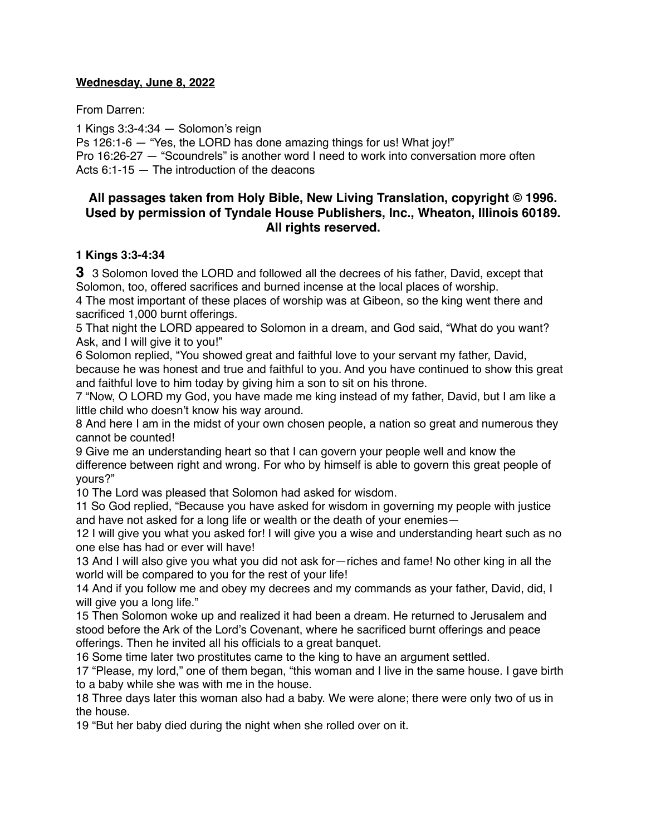## **Wednesday, June 8, 2022**

From Darren:

1 Kings 3:3-4:34 — Solomon's reign

Ps 126:1-6 — "Yes, the LORD has done amazing things for us! What joy!" Pro 16:26-27 — "Scoundrels" is another word I need to work into conversation more often Acts 6:1-15 — The introduction of the deacons

# **All passages taken from Holy Bible, [New Living Translation](http://www.newlivingtranslation.com/), copyright © 1996. Used by permission of [Tyndale House Publishers](http://tyndale.com/), Inc., Wheaton, Illinois 60189. All rights reserved.**

## **1 Kings 3:3-4:34**

**3** 3 Solomon loved the LORD and followed all the decrees of his father, David, except that Solomon, too, offered sacrifices and burned incense at the local places of worship.

4 The most important of these places of worship was at Gibeon, so the king went there and sacrificed 1,000 burnt offerings.

5 That night the LORD appeared to Solomon in a dream, and God said, "What do you want? Ask, and I will give it to you!"

6 Solomon replied, "You showed great and faithful love to your servant my father, David, because he was honest and true and faithful to you. And you have continued to show this great and faithful love to him today by giving him a son to sit on his throne.

7 "Now, O LORD my God, you have made me king instead of my father, David, but I am like a little child who doesn't know his way around.

8 And here I am in the midst of your own chosen people, a nation so great and numerous they cannot be counted!

9 Give me an understanding heart so that I can govern your people well and know the difference between right and wrong. For who by himself is able to govern this great people of yours?"

10 The Lord was pleased that Solomon had asked for wisdom.

11 So God replied, "Because you have asked for wisdom in governing my people with justice and have not asked for a long life or wealth or the death of your enemies—

12 I will give you what you asked for! I will give you a wise and understanding heart such as no one else has had or ever will have!

13 And I will also give you what you did not ask for—riches and fame! No other king in all the world will be compared to you for the rest of your life!

14 And if you follow me and obey my decrees and my commands as your father, David, did, I will give you a long life."

15 Then Solomon woke up and realized it had been a dream. He returned to Jerusalem and stood before the Ark of the Lord's Covenant, where he sacrificed burnt offerings and peace offerings. Then he invited all his officials to a great banquet.

16 Some time later two prostitutes came to the king to have an argument settled.

17 "Please, my lord," one of them began, "this woman and I live in the same house. I gave birth to a baby while she was with me in the house.

18 Three days later this woman also had a baby. We were alone; there were only two of us in the house.

19 "But her baby died during the night when she rolled over on it.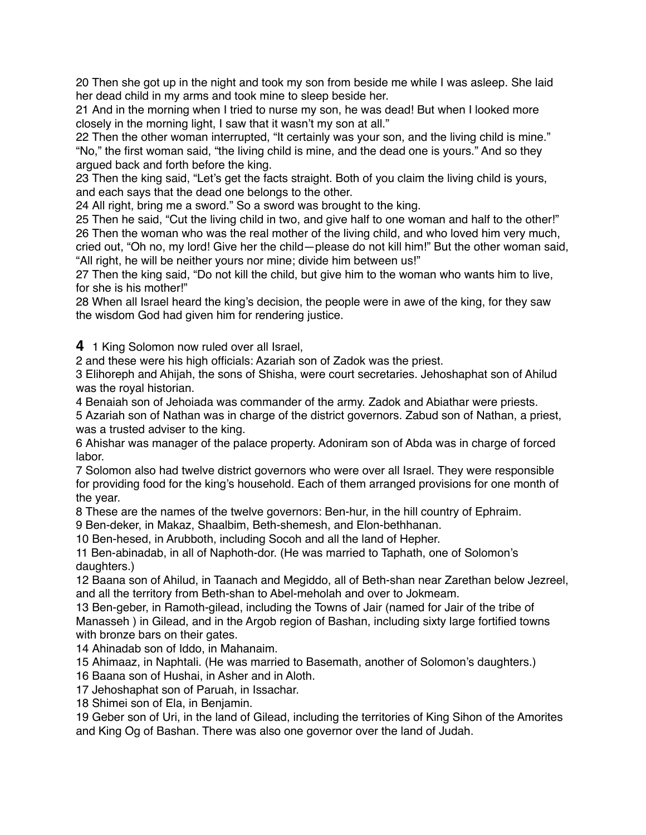20 Then she got up in the night and took my son from beside me while I was asleep. She laid her dead child in my arms and took mine to sleep beside her.

21 And in the morning when I tried to nurse my son, he was dead! But when I looked more closely in the morning light, I saw that it wasn't my son at all."

22 Then the other woman interrupted, "It certainly was your son, and the living child is mine." "No," the first woman said, "the living child is mine, and the dead one is yours." And so they argued back and forth before the king.

23 Then the king said, "Let's get the facts straight. Both of you claim the living child is yours, and each says that the dead one belongs to the other.

24 All right, bring me a sword." So a sword was brought to the king.

25 Then he said, "Cut the living child in two, and give half to one woman and half to the other!" 26 Then the woman who was the real mother of the living child, and who loved him very much, cried out, "Oh no, my lord! Give her the child—please do not kill him!" But the other woman said, "All right, he will be neither yours nor mine; divide him between us!"

27 Then the king said, "Do not kill the child, but give him to the woman who wants him to live, for she is his mother!"

28 When all Israel heard the king's decision, the people were in awe of the king, for they saw the wisdom God had given him for rendering justice.

**4** 1 King Solomon now ruled over all Israel,

2 and these were his high officials: Azariah son of Zadok was the priest.

3 Elihoreph and Ahijah, the sons of Shisha, were court secretaries. Jehoshaphat son of Ahilud was the royal historian.

4 Benaiah son of Jehoiada was commander of the army. Zadok and Abiathar were priests.

5 Azariah son of Nathan was in charge of the district governors. Zabud son of Nathan, a priest, was a trusted adviser to the king.

6 Ahishar was manager of the palace property. Adoniram son of Abda was in charge of forced labor.

7 Solomon also had twelve district governors who were over all Israel. They were responsible for providing food for the king's household. Each of them arranged provisions for one month of the year.

8 These are the names of the twelve governors: Ben-hur, in the hill country of Ephraim.

9 Ben-deker, in Makaz, Shaalbim, Beth-shemesh, and Elon-bethhanan.

10 Ben-hesed, in Arubboth, including Socoh and all the land of Hepher.

11 Ben-abinadab, in all of Naphoth-dor. (He was married to Taphath, one of Solomon's daughters.)

12 Baana son of Ahilud, in Taanach and Megiddo, all of Beth-shan near Zarethan below Jezreel, and all the territory from Beth-shan to Abel-meholah and over to Jokmeam.

13 Ben-geber, in Ramoth-gilead, including the Towns of Jair (named for Jair of the tribe of Manasseh ) in Gilead, and in the Argob region of Bashan, including sixty large fortified towns with bronze bars on their gates.

14 Ahinadab son of Iddo, in Mahanaim.

15 Ahimaaz, in Naphtali. (He was married to Basemath, another of Solomon's daughters.) 16 Baana son of Hushai, in Asher and in Aloth.

17 Jehoshaphat son of Paruah, in Issachar.

18 Shimei son of Ela, in Benjamin.

19 Geber son of Uri, in the land of Gilead, including the territories of King Sihon of the Amorites and King Og of Bashan. There was also one governor over the land of Judah.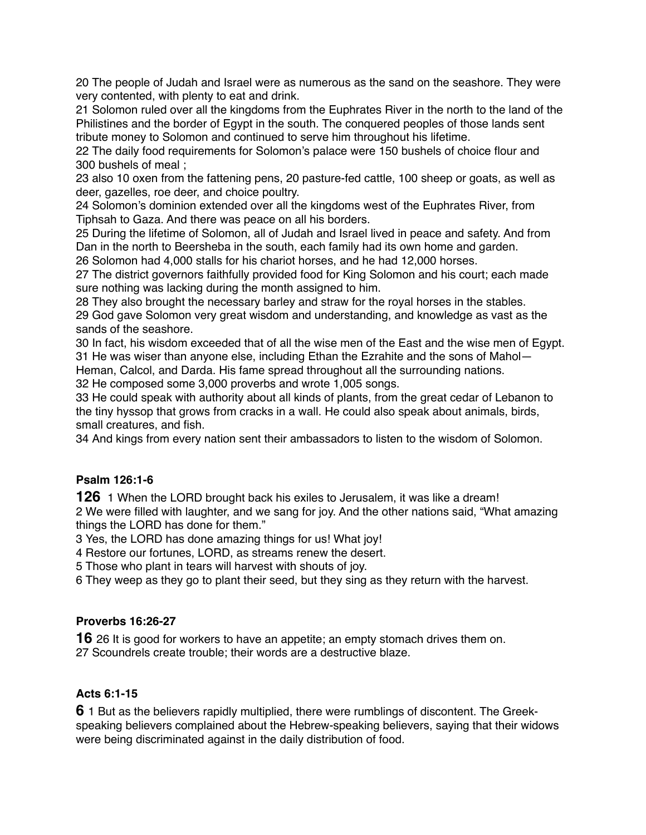20 The people of Judah and Israel were as numerous as the sand on the seashore. They were very contented, with plenty to eat and drink.

21 Solomon ruled over all the kingdoms from the Euphrates River in the north to the land of the Philistines and the border of Egypt in the south. The conquered peoples of those lands sent tribute money to Solomon and continued to serve him throughout his lifetime.

22 The daily food requirements for Solomon's palace were 150 bushels of choice flour and 300 bushels of meal ;

23 also 10 oxen from the fattening pens, 20 pasture-fed cattle, 100 sheep or goats, as well as deer, gazelles, roe deer, and choice poultry.

24 Solomon's dominion extended over all the kingdoms west of the Euphrates River, from Tiphsah to Gaza. And there was peace on all his borders.

25 During the lifetime of Solomon, all of Judah and Israel lived in peace and safety. And from Dan in the north to Beersheba in the south, each family had its own home and garden. 26 Solomon had 4,000 stalls for his chariot horses, and he had 12,000 horses.

27 The district governors faithfully provided food for King Solomon and his court; each made sure nothing was lacking during the month assigned to him.

28 They also brought the necessary barley and straw for the royal horses in the stables. 29 God gave Solomon very great wisdom and understanding, and knowledge as vast as the sands of the seashore.

30 In fact, his wisdom exceeded that of all the wise men of the East and the wise men of Egypt. 31 He was wiser than anyone else, including Ethan the Ezrahite and the sons of Mahol— Heman, Calcol, and Darda. His fame spread throughout all the surrounding nations.

32 He composed some 3,000 proverbs and wrote 1,005 songs.

33 He could speak with authority about all kinds of plants, from the great cedar of Lebanon to the tiny hyssop that grows from cracks in a wall. He could also speak about animals, birds, small creatures, and fish.

34 And kings from every nation sent their ambassadors to listen to the wisdom of Solomon.

#### **Psalm 126:1-6**

**126** 1 When the LORD brought back his exiles to Jerusalem, it was like a dream! 2 We were filled with laughter, and we sang for joy. And the other nations said, "What amazing things the LORD has done for them."

3 Yes, the LORD has done amazing things for us! What joy!

4 Restore our fortunes, LORD, as streams renew the desert.

5 Those who plant in tears will harvest with shouts of joy.

6 They weep as they go to plant their seed, but they sing as they return with the harvest.

#### **Proverbs 16:26-27**

**16** 26 It is good for workers to have an appetite; an empty stomach drives them on. 27 Scoundrels create trouble; their words are a destructive blaze.

# **Acts 6:1-15**

**6** 1 But as the believers rapidly multiplied, there were rumblings of discontent. The Greekspeaking believers complained about the Hebrew-speaking believers, saying that their widows were being discriminated against in the daily distribution of food.